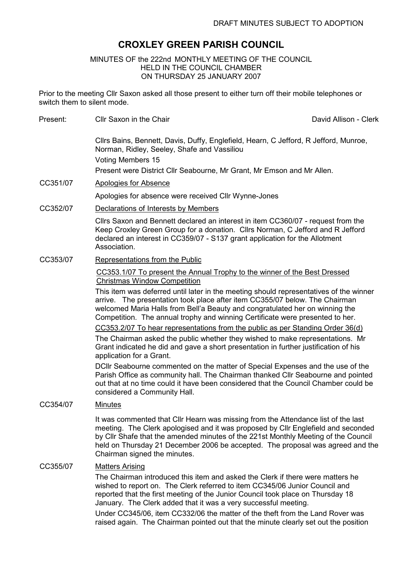# CROXLEY GREEN PARISH COUNCIL

# MINUTES OF the 222nd MONTHLY MEETING OF THE COUNCIL HELD IN THE COUNCIL CHAMBER ON THURSDAY 25 JANUARY 2007

Prior to the meeting Cllr Saxon asked all those present to either turn off their mobile telephones or switch them to silent mode.

Cllrs Bains, Bennett, Davis, Duffy, Englefield, Hearn, C Jefford, R Jefford, Munroe, Norman, Ridley, Seeley, Shafe and Vassiliou Voting Members 15 Present were District Cllr Seabourne, Mr Grant, Mr Emson and Mr Allen.

Present: Cllr Saxon in the Chair Chair Chair David Allison - Clerk

- CC351/07 Apologies for Absence Apologies for absence were received Cllr Wynne-Jones
- CC352/07 Declarations of Interests by Members

Cllrs Saxon and Bennett declared an interest in item CC360/07 - request from the Keep Croxley Green Group for a donation. Cllrs Norman, C Jefford and R Jefford declared an interest in CC359/07 - S137 grant application for the Allotment Association.

CC353/07 Representations from the Public

CC353.1/07 To present the Annual Trophy to the winner of the Best Dressed Christmas Window Competition

This item was deferred until later in the meeting should representatives of the winner arrive. The presentation took place after item CC355/07 below. The Chairman welcomed Maria Halls from Bell'a Beauty and congratulated her on winning the Competition. The annual trophy and winning Certificate were presented to her.

CC353.2/07 To hear representations from the public as per Standing Order 36(d)

The Chairman asked the public whether they wished to make representations. Mr Grant indicated he did and gave a short presentation in further justification of his application for a Grant.

DCllr Seabourne commented on the matter of Special Expenses and the use of the Parish Office as community hall. The Chairman thanked Cllr Seabourne and pointed out that at no time could it have been considered that the Council Chamber could be considered a Community Hall.

CC354/07 Minutes

It was commented that Cllr Hearn was missing from the Attendance list of the last meeting. The Clerk apologised and it was proposed by Cllr Englefield and seconded by Cllr Shafe that the amended minutes of the 221st Monthly Meeting of the Council held on Thursday 21 December 2006 be accepted. The proposal was agreed and the Chairman signed the minutes.

# CC355/07 Matters Arising

The Chairman introduced this item and asked the Clerk if there were matters he wished to report on. The Clerk referred to item CC345/06 Junior Council and reported that the first meeting of the Junior Council took place on Thursday 18 January. The Clerk added that it was a very successful meeting.

Under CC345/06, item CC332/06 the matter of the theft from the Land Rover was raised again. The Chairman pointed out that the minute clearly set out the position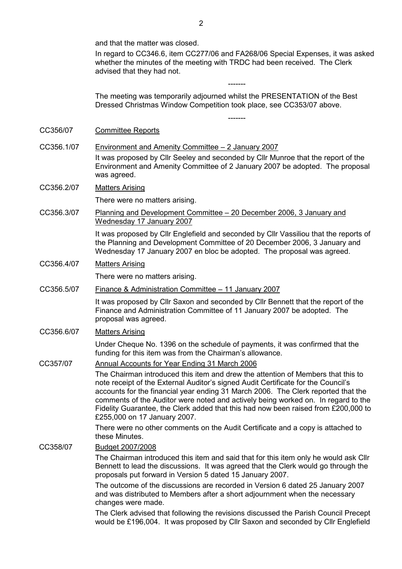and that the matter was closed.

In regard to CC346.6, item CC277/06 and FA268/06 Special Expenses, it was asked whether the minutes of the meeting with TRDC had been received. The Clerk advised that they had not.

-------

-------

The meeting was temporarily adjourned whilst the PRESENTATION of the Best Dressed Christmas Window Competition took place, see CC353/07 above.

- CC356/07 Committee Reports
- CC356.1/07 Environment and Amenity Committee 2 January 2007 It was proposed by Cllr Seeley and seconded by Cllr Munroe that the report of the Environment and Amenity Committee of 2 January 2007 be adopted. The proposal was agreed.

#### CC356.2/07 Matters Arising

There were no matters arising.

CC356.3/07 Planning and Development Committee – 20 December 2006, 3 January and Wednesday 17 January 2007

> It was proposed by Cllr Englefield and seconded by Cllr Vassiliou that the reports of the Planning and Development Committee of 20 December 2006, 3 January and Wednesday 17 January 2007 en bloc be adopted. The proposal was agreed.

#### CC356.4/07 Matters Arising

There were no matters arising.

CC356.5/07 Finance & Administration Committee – 11 January 2007

It was proposed by Cllr Saxon and seconded by Cllr Bennett that the report of the Finance and Administration Committee of 11 January 2007 be adopted. The proposal was agreed.

CC356.6/07 Matters Arising

Under Cheque No. 1396 on the schedule of payments, it was confirmed that the funding for this item was from the Chairman's allowance.

#### CC357/07 Annual Accounts for Year Ending 31 March 2006

The Chairman introduced this item and drew the attention of Members that this to note receipt of the External Auditor's signed Audit Certificate for the Council's accounts for the financial year ending 31 March 2006. The Clerk reported that the comments of the Auditor were noted and actively being worked on. In regard to the Fidelity Guarantee, the Clerk added that this had now been raised from £200,000 to £255,000 on 17 January 2007.

There were no other comments on the Audit Certificate and a copy is attached to these Minutes.

#### CC358/07 Budget 2007/2008

The Chairman introduced this item and said that for this item only he would ask Cllr Bennett to lead the discussions. It was agreed that the Clerk would go through the proposals put forward in Version 5 dated 15 January 2007.

The outcome of the discussions are recorded in Version 6 dated 25 January 2007 and was distributed to Members after a short adjournment when the necessary changes were made.

The Clerk advised that following the revisions discussed the Parish Council Precept would be £196,004. It was proposed by Cllr Saxon and seconded by Cllr Englefield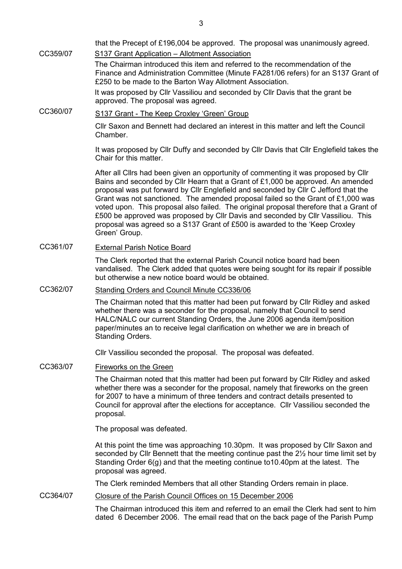that the Precept of £196,004 be approved. The proposal was unanimously agreed. CC359/07 S137 Grant Application – Allotment Association The Chairman introduced this item and referred to the recommendation of the Finance and Administration Committee (Minute FA281/06 refers) for an S137 Grant of £250 to be made to the Barton Way Allotment Association. It was proposed by Cllr Vassiliou and seconded by Cllr Davis that the grant be approved. The proposal was agreed.

CC360/07 S137 Grant - The Keep Croxley 'Green' Group

Cllr Saxon and Bennett had declared an interest in this matter and left the Council Chamber.

It was proposed by Cllr Duffy and seconded by Cllr Davis that Cllr Englefield takes the Chair for this matter.

After all Cllrs had been given an opportunity of commenting it was proposed by Cllr Bains and seconded by Cllr Hearn that a Grant of £1,000 be approved. An amended proposal was put forward by Cllr Englefield and seconded by Cllr C Jefford that the Grant was not sanctioned. The amended proposal failed so the Grant of £1,000 was voted upon. This proposal also failed. The original proposal therefore that a Grant of £500 be approved was proposed by Cllr Davis and seconded by Cllr Vassiliou. This proposal was agreed so a S137 Grant of £500 is awarded to the 'Keep Croxley Green' Group.

## CC361/07 External Parish Notice Board

The Clerk reported that the external Parish Council notice board had been vandalised. The Clerk added that quotes were being sought for its repair if possible but otherwise a new notice board would be obtained.

# CC362/07 Standing Orders and Council Minute CC336/06

The Chairman noted that this matter had been put forward by Cllr Ridley and asked whether there was a seconder for the proposal, namely that Council to send HALC/NALC our current Standing Orders, the June 2006 agenda item/position paper/minutes an to receive legal clarification on whether we are in breach of Standing Orders.

Cllr Vassiliou seconded the proposal. The proposal was defeated.

CC363/07 Fireworks on the Green

The Chairman noted that this matter had been put forward by Cllr Ridley and asked whether there was a seconder for the proposal, namely that fireworks on the green for 2007 to have a minimum of three tenders and contract details presented to Council for approval after the elections for acceptance. Cllr Vassiliou seconded the proposal.

The proposal was defeated.

At this point the time was approaching 10.30pm. It was proposed by Cllr Saxon and seconded by Cllr Bennett that the meeting continue past the 2½ hour time limit set by Standing Order 6(g) and that the meeting continue to 10.40pm at the latest. The proposal was agreed.

The Clerk reminded Members that all other Standing Orders remain in place.

## CC364/07 Closure of the Parish Council Offices on 15 December 2006

The Chairman introduced this item and referred to an email the Clerk had sent to him dated 6 December 2006. The email read that on the back page of the Parish Pump